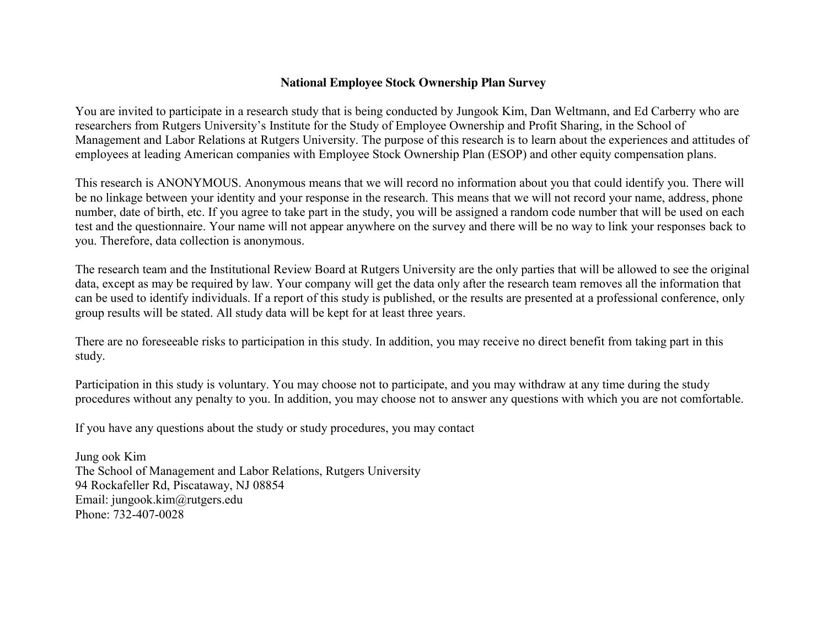## **National Employee Stock Ownership Plan Survey**

You are invited to participate in a research study that is being conducted by Jungook Kim, Dan Weltmann, and Ed Carberry who are researchers from Rutgers University's Institute for the Study of Employee Ownership and Profit Sharing, in the School of Management and Labor Relations at Rutgers University. The purpose of this research is to learn about the experiences and attitudes of employees at leading American companies with Employee Stock Ownership Plan (ESOP) and other equity compensation plans.

This research is ANONYMOUS. Anonymous means that we will record no information about you that could identify you. There will be no linkage between your identity and your response in the research. This means that we will not record your name, address, phone number, date of birth, etc. If you agree to take part in the study, you will be assigned a random code number that will be used on each test and the questionnaire. Your name will not appear anywhere on the survey and there will be no way to link your responses back to you. Therefore, data collection is anonymous.

The research team and the Institutional Review Board at Rutgers University are the only parties that will be allowed to see the original data, except as may be required by law. Your company will get the data only after the research team removes all the information that can be used to identify individuals. If a report of this study is published, or the results are presented at a professional conference, only group results will be stated. All study data will be kept for at least three years.

There are no foreseeable risks to participation in this study. In addition, you may receive no direct benefit from taking part in this study.

Participation in this study is voluntary. You may choose not to participate, and you may withdraw at any time during the study procedures without any penalty to you. In addition, you may choose not to answer any questions with which you are not comfortable.

If you have any questions about the study or study procedures, you may contact

Jung ook Kim The School of Management and Labor Relations, Rutgers University 94 Rockafeller Rd, Piscataway, NJ 08854 Email: jungook.kim@rutgers.edu Phone: 732-407-0028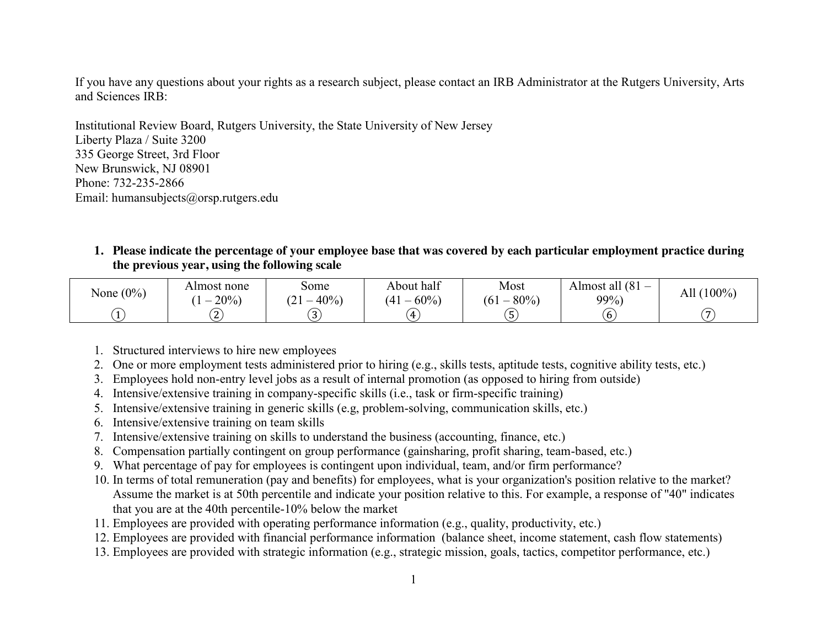If you have any questions about your rights as a research subject, please contact an IRB Administrator at the Rutgers University, Arts and Sciences IRB:

Institutional Review Board, Rutgers University, the State University of New Jersey Liberty Plaza / Suite 3200 335 George Street, 3rd Floor New Brunswick, NJ 08901 Phone: 732-235-2866 Email: humansubjects@orsp.rutgers.edu

**1. Please indicate the percentage of your employee base that was covered by each particular employment practice during the previous year, using the following scale**

| None $(0\%)$ | Almost none<br>20% | some<br>40%<br>$\tilde{\phantom{a}}$<br>_ | $\sim$<br>About half<br>60%<br>$\mathbf{4}$ | Most<br>80%<br>(61)<br>_      | Almost all (81<br>$99\%$ | All (100%) |
|--------------|--------------------|-------------------------------------------|---------------------------------------------|-------------------------------|--------------------------|------------|
|              | . a                | $\sim$ 1<br>-<br>ر .                      | $\overline{4}$                              | $\overline{\phantom{a}}$<br>5 | b                        |            |

- 1. Structured interviews to hire new employees
- 2. One or more employment tests administered prior to hiring (e.g., skills tests, aptitude tests, cognitive ability tests, etc.)
- 3. Employees hold non-entry level jobs as a result of internal promotion (as opposed to hiring from outside)
- 4. Intensive/extensive training in company-specific skills (i.e., task or firm-specific training)
- 5. Intensive/extensive training in generic skills (e.g, problem-solving, communication skills, etc.)
- 6. Intensive/extensive training on team skills
- 7. Intensive/extensive training on skills to understand the business (accounting, finance, etc.)
- 8. Compensation partially contingent on group performance (gainsharing, profit sharing, team-based, etc.)
- 9. What percentage of pay for employees is contingent upon individual, team, and/or firm performance?
- 10. In terms of total remuneration (pay and benefits) for employees, what is your organization's position relative to the market? Assume the market is at 50th percentile and indicate your position relative to this. For example, a response of "40" indicates that you are at the 40th percentile-10% below the market
- 11. Employees are provided with operating performance information (e.g., quality, productivity, etc.)
- 12. Employees are provided with financial performance information (balance sheet, income statement, cash flow statements)
- 13. Employees are provided with strategic information (e.g., strategic mission, goals, tactics, competitor performance, etc.)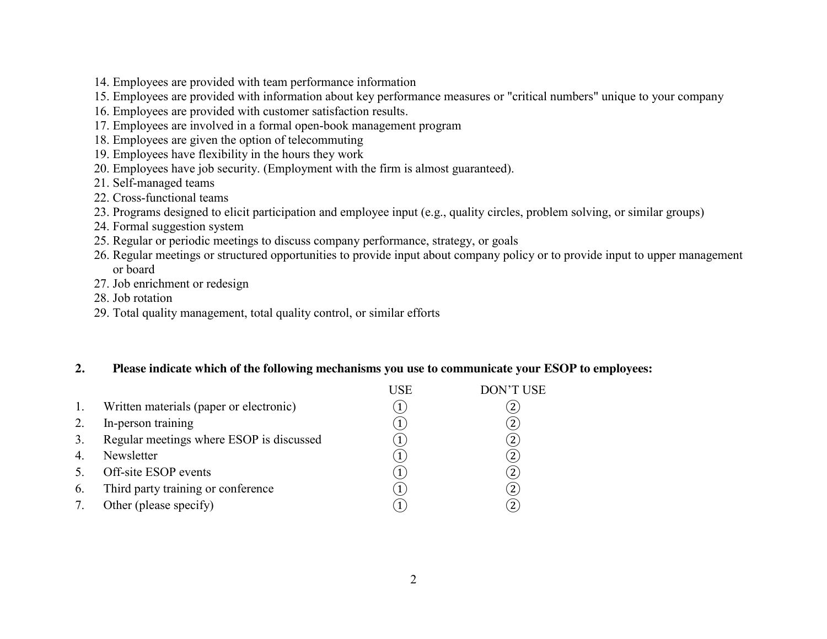- 14. Employees are provided with team performance information
- 15. Employees are provided with information about key performance measures or "critical numbers" unique to your company
- 16. Employees are provided with customer satisfaction results.
- 17. Employees are involved in a formal open-book management program
- 18. Employees are given the option of telecommuting
- 19. Employees have flexibility in the hours they work
- 20. Employees have job security. (Employment with the firm is almost guaranteed).
- 21. Self-managed teams
- 22. Cross-functional teams
- 23. Programs designed to elicit participation and employee input (e.g., quality circles, problem solving, or similar groups)
- 24. Formal suggestion system
- 25. Regular or periodic meetings to discuss company performance, strategy, or goals
- 26. Regular meetings or structured opportunities to provide input about company policy or to provide input to upper management or board
- 27. Job enrichment or redesign
- 28. Job rotation
- 29. Total quality management, total quality control, or similar efforts

## **2. Please indicate which of the following mechanisms you use to communicate your ESOP to employees:**

|                  |                                          | USE | <b>DON'T USE</b> |
|------------------|------------------------------------------|-----|------------------|
| 1.               | Written materials (paper or electronic)  |     |                  |
| 2.               | In-person training                       |     | 2                |
| $\overline{3}$ . | Regular meetings where ESOP is discussed |     |                  |
| $\overline{4}$   | Newsletter                               |     | 2                |
|                  | Off-site ESOP events                     |     | 2                |
| 6.               | Third party training or conference       |     | 2                |
|                  | Other (please specify)                   |     |                  |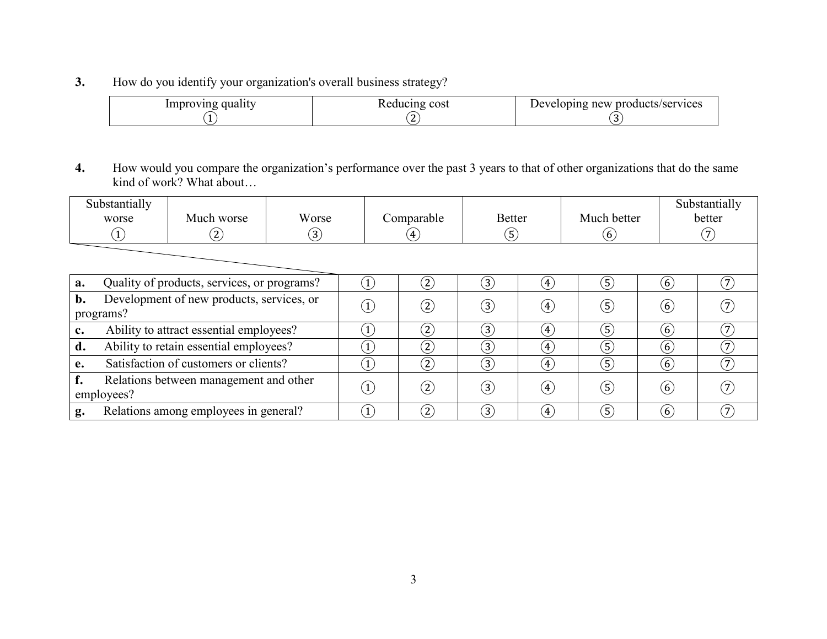**3.** How do you identify your organization's overall business strategy?

| Improving quality | Reducing cost | Developing new products/services |
|-------------------|---------------|----------------------------------|
|                   |               |                                  |

**4.** How would you compare the organization's performance over the past 3 years to that of other organizations that do the same kind of work? What about…

|                                                              | Substantially<br>worse<br>$\left( \mathbf{1}\right)$ | Much worse<br>$\left( 2\right)$ | Worse<br>$\left(3\right)$ |                  | Comparable<br>$\left( 4 \right)$ |                   | <b>Better</b><br>$\ddot{\circ}$ |                   | Much better      | Substantially<br>better |  |
|--------------------------------------------------------------|------------------------------------------------------|---------------------------------|---------------------------|------------------|----------------------------------|-------------------|---------------------------------|-------------------|------------------|-------------------------|--|
|                                                              |                                                      |                                 |                           |                  |                                  |                   |                                 |                   |                  |                         |  |
| Quality of products, services, or programs?<br>a.            |                                                      |                                 |                           | $\left(1\right)$ | (2)                              | (3)               | $\left( 4\right)$               | (5)               | (6)              | $\left(7\right)$        |  |
| Development of new products, services, or<br>b.<br>programs? |                                                      |                                 | $\left(1\right)$          | (2)              | (3)                              | $\left(4\right)$  | $\left( 5\right)$               | (6)               |                  |                         |  |
| Ability to attract essential employees?<br>$c_{\bullet}$     |                                                      |                                 | $\mathbf{1}$              | (2)              | $\left(3\right)$                 | $\left( 4\right)$ | $\mathfrak{S}$                  | (6)               | $\left(7\right)$ |                         |  |
| Ability to retain essential employees?<br>d.                 |                                                      |                                 | $\left(1\right)$          | (2)              | $\left(3\right)$                 | $\left(4\right)$  | $\left( 5\right)$               | (6)               | $\mathcal{T}$    |                         |  |
| e.                                                           | Satisfaction of customers or clients?                |                                 |                           | $\left(1\right)$ | (2)                              | (3)               | $\left( 4\right)$               | $\left( 5\right)$ | (6)              | (7)                     |  |
| f.<br>Relations between management and other<br>employees?   |                                                      |                                 | $\left(1\right)$          | (2)              | (3)                              | $\left( 4\right)$ | (5)                             | (6)               |                  |                         |  |
| Relations among employees in general?<br>g.                  |                                                      |                                 |                           | (2)              | (3)                              | $\left( 4\right)$ | (5)                             | (6)               | (7)              |                         |  |